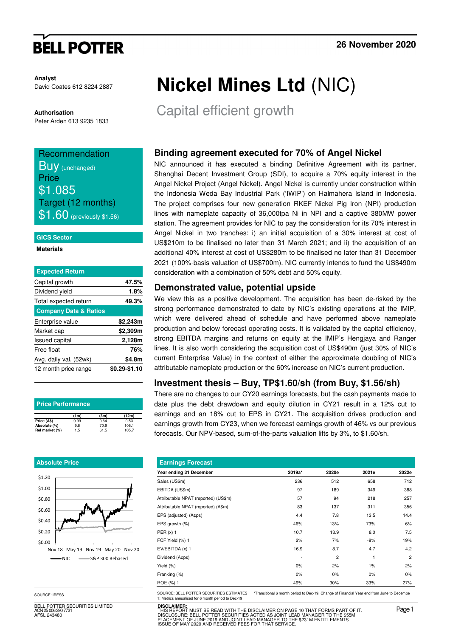# **BELL POTTER**

**Analyst** David Coates 612 8224 2887

**Authorisation** 

Peter Arden 613 9235 1833

## Recommendation **BUV** (unchanged) **Price** \$1.085 Target (12 months)  $\$1.60$  (previously \$1.56)

#### **GICS Sector**

#### **Materials**

| <b>Expected Return</b>           |               |
|----------------------------------|---------------|
| Capital growth                   | 47.5%         |
| Dividend yield                   | 1.8%          |
| Total expected return            | 49.3%         |
| <b>Company Data &amp; Ratios</b> |               |
| Enterprise value                 | \$2,243m      |
| Market cap                       | \$2,309m      |
| <b>Issued capital</b>            | 2,128m        |
| Free float                       | 76%           |
| Avg. daily val. (52wk)           | \$4.8m        |
| 12 month price range             | \$0.29-\$1.10 |
|                                  |               |

| <b>Price Performance</b> |      |      |       |  |  |  |  |  |  |
|--------------------------|------|------|-------|--|--|--|--|--|--|
|                          | (1m) | (3m) | (12m) |  |  |  |  |  |  |
| Price (A\$)              | 0.99 | 0.64 | 0.53  |  |  |  |  |  |  |
| Absolute (%)             | 9.6  | 70.9 | 106.1 |  |  |  |  |  |  |
| Rel market (%)           | 1.5  | 61.5 | 105.7 |  |  |  |  |  |  |

### **Absolute Price**



BELL POTTER SECURITIES LIMITED 25 006 390 772 AFSL 243480

# **Nickel Mines Ltd** (NIC)

Capital efficient growth

## **Binding agreement executed for 70% of Angel Nickel**

NIC announced it has executed a binding Definitive Agreement with its partner, Shanghai Decent Investment Group (SDI), to acquire a 70% equity interest in the Angel Nickel Project (Angel Nickel). Angel Nickel is currently under construction within the Indonesia Weda Bay Industrial Park ('IWIP') on Halmahera Island in Indonesia. The project comprises four new generation RKEF Nickel Pig Iron (NPI) production lines with nameplate capacity of 36,000tpa Ni in NPI and a captive 380MW power station. The agreement provides for NIC to pay the consideration for its 70% interest in Angel Nickel in two tranches: i) an initial acquisition of a 30% interest at cost of US\$210m to be finalised no later than 31 March 2021; and ii) the acquisition of an additional 40% interest at cost of US\$280m to be finalised no later than 31 December 2021 (100%-basis valuation of US\$700m). NIC currently intends to fund the US\$490m consideration with a combination of 50% debt and 50% equity.

## **Demonstrated value, potential upside**

We view this as a positive development. The acquisition has been de-risked by the strong performance demonstrated to date by NIC's existing operations at the IMIP, which were delivered ahead of schedule and have performed above nameplate production and below forecast operating costs. It is validated by the capital efficiency, strong EBITDA margins and returns on equity at the IMIP's Hengjaya and Ranger lines. It is also worth considering the acquisition cost of US\$490m (just 30% of NIC's current Enterprise Value) in the context of either the approximate doubling of NIC's attributable nameplate production or the 60% increase on NIC's current production.

## **Investment thesis – Buy, TP\$1.60/sh (from Buy, \$1.56/sh)**

There are no changes to our CY20 earnings forecasts, but the cash payments made to date plus the debt drawdown and equity dilution in CY21 result in a 12% cut to earnings and an 18% cut to EPS in CY21. The acquisition drives production and earnings growth from CY23, when we forecast earnings growth of 46% vs our previous forecasts. Our NPV-based, sum-of-the-parts valuation lifts by 3%, to \$1.60/sh.

| <b>Earnings Forecast</b>             |        |                |       |                |  |  |  |  |  |
|--------------------------------------|--------|----------------|-------|----------------|--|--|--|--|--|
| Year ending 31 December              | 2019a* | 2020e          | 2021e | 2022e          |  |  |  |  |  |
| Sales (US\$m)                        | 236    | 512            | 658   | 712            |  |  |  |  |  |
| EBITDA (US\$m)                       | 97     | 189            | 349   | 388            |  |  |  |  |  |
| Attributable NPAT (reported) (US\$m) | 57     | 94             | 218   | 257            |  |  |  |  |  |
| Attributable NPAT (reported) (A\$m)  | 83     | 137            | 311   | 356            |  |  |  |  |  |
| EPS (adjusted) (A¢ps)                | 4.4    | 7.8            | 13.5  | 14.4           |  |  |  |  |  |
| EPS growth (%)                       | 46%    | 13%            | 73%   | 6%             |  |  |  |  |  |
| PER $(x)$ 1                          | 10.7   | 13.9           | 8.0   | 7.5            |  |  |  |  |  |
| FCF Yield (%) 1                      | 2%     | 7%             | $-8%$ | 19%            |  |  |  |  |  |
| EV/EBITDA (x) 1                      | 16.9   | 8.7            | 4.7   | 4.2            |  |  |  |  |  |
| Dividend (Acps)                      | ۰      | $\overline{c}$ | 1     | $\overline{2}$ |  |  |  |  |  |
| Yield (%)                            | $0\%$  | 2%             | 1%    | 2%             |  |  |  |  |  |
| Franking (%)                         | $0\%$  | 0%             | $0\%$ | $0\%$          |  |  |  |  |  |
| ROE (%) 1                            | 49%    | 30%            | 33%   | 27%            |  |  |  |  |  |

SOURCE: BELL POTTER SECURITIES ESTIMATES \*Transitional 6 month period to Dec-19. Change of Financial Year end from June to Decembe 1: Metrics annualised for 6 month period to Dec-19

> **DISCLAIMER:** THIS REPORT MUST BE READ WITH THE DISCLAIMER ON PAGE 10 THAT FORMS PART OF IT.<br>DISCLOSURE: BELL POTTER SECURITIES ACTED AS JOINT LEAD MANAGER TO THE \$55M<br>PLACEMENT OF JUNE 2019 AND JOINT LEAD MANAGER TO THE \$231M ENTITLEME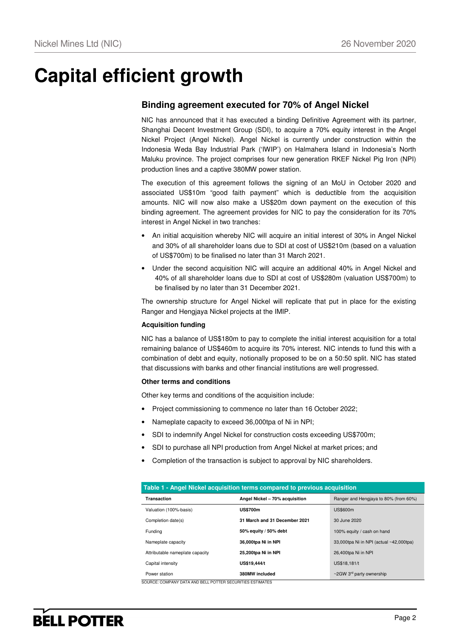# **Capital efficient growth**

## **Binding agreement executed for 70% of Angel Nickel**

NIC has announced that it has executed a binding Definitive Agreement with its partner, Shanghai Decent Investment Group (SDI), to acquire a 70% equity interest in the Angel Nickel Project (Angel Nickel). Angel Nickel is currently under construction within the Indonesia Weda Bay Industrial Park ('IWIP') on Halmahera Island in Indonesia's North Maluku province. The project comprises four new generation RKEF Nickel Pig Iron (NPI) production lines and a captive 380MW power station.

The execution of this agreement follows the signing of an MoU in October 2020 and associated US\$10m "good faith payment" which is deductible from the acquisition amounts. NIC will now also make a US\$20m down payment on the execution of this binding agreement. The agreement provides for NIC to pay the consideration for its 70% interest in Angel Nickel in two tranches:

- An initial acquisition whereby NIC will acquire an initial interest of 30% in Angel Nickel and 30% of all shareholder loans due to SDI at cost of US\$210m (based on a valuation of US\$700m) to be finalised no later than 31 March 2021.
- Under the second acquisition NIC will acquire an additional 40% in Angel Nickel and 40% of all shareholder loans due to SDI at cost of US\$280m (valuation US\$700m) to be finalised by no later than 31 December 2021.

The ownership structure for Angel Nickel will replicate that put in place for the existing Ranger and Hengjaya Nickel projects at the IMIP.

### **Acquisition funding**

NIC has a balance of US\$180m to pay to complete the initial interest acquisition for a total remaining balance of US\$460m to acquire its 70% interest. NIC intends to fund this with a combination of debt and equity, notionally proposed to be on a 50:50 split. NIC has stated that discussions with banks and other financial institutions are well progressed.

#### **Other terms and conditions**

Other key terms and conditions of the acquisition include:

- Project commissioning to commence no later than 16 October 2022;
- Nameplate capacity to exceed 36,000tpa of Ni in NPI;
- SDI to indemnify Angel Nickel for construction costs exceeding US\$700m;
- SDI to purchase all NPI production from Angel Nickel at market prices; and
- Completion of the transaction is subject to approval by NIC shareholders.

| Table 1 - Angel Nickel acquisition terms compared to previous acquisition |                                |                                            |  |  |  |  |  |  |
|---------------------------------------------------------------------------|--------------------------------|--------------------------------------------|--|--|--|--|--|--|
| Transaction                                                               | Angel Nickel - 70% acquisition | Ranger and Hengiaya to 80% (from 60%)      |  |  |  |  |  |  |
| Valuation (100%-basis)                                                    | <b>US\$700m</b>                | <b>US\$600m</b>                            |  |  |  |  |  |  |
| Completion date(s)                                                        | 31 March and 31 December 2021  | 30 June 2020                               |  |  |  |  |  |  |
| Fundina                                                                   | 50% equity / 50% debt          | 100% equity / cash on hand                 |  |  |  |  |  |  |
| Nameplate capacity                                                        | 36,000tpa Ni in NPI            | 33,000tpa Ni in NPI (actual ~42,000tpa)    |  |  |  |  |  |  |
| Attributable nameplate capacity                                           | 25,200tpa Ni in NPI            | 26,400tpa Ni in NPI                        |  |  |  |  |  |  |
| Capital intensity                                                         | US\$19,444/t                   | US\$18,181/t                               |  |  |  |  |  |  |
| Power station                                                             | 380MW included                 | $\sim$ 2GW 3 <sup>rd</sup> party ownership |  |  |  |  |  |  |

SOURCE: COMPANY DATA AND BELL POTTER SECURITIES ESTIMATES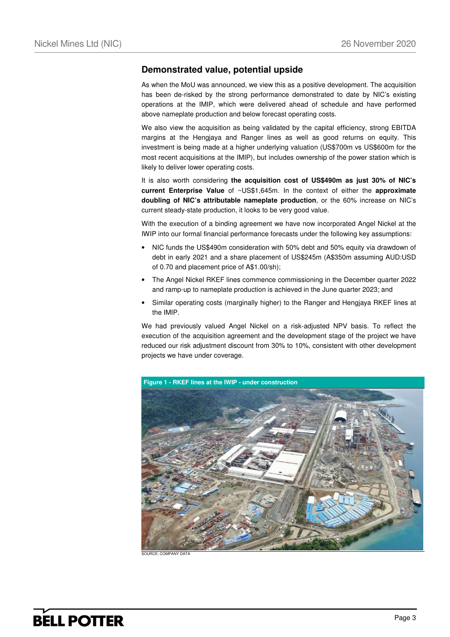## **Demonstrated value, potential upside**

As when the MoU was announced, we view this as a positive development. The acquisition has been de-risked by the strong performance demonstrated to date by NIC's existing operations at the IMIP, which were delivered ahead of schedule and have performed above nameplate production and below forecast operating costs.

We also view the acquisition as being validated by the capital efficiency, strong EBITDA margins at the Hengjaya and Ranger lines as well as good returns on equity. This investment is being made at a higher underlying valuation (US\$700m vs US\$600m for the most recent acquisitions at the IMIP), but includes ownership of the power station which is likely to deliver lower operating costs.

It is also worth considering **the acquisition cost of US\$490m as just 30% of NIC's current Enterprise Value** of ~US\$1,645m. In the context of either the **approximate doubling of NIC's attributable nameplate production**, or the 60% increase on NIC's current steady-state production, it looks to be very good value.

With the execution of a binding agreement we have now incorporated Angel Nickel at the IWIP into our formal financial performance forecasts under the following key assumptions:

- NIC funds the US\$490m consideration with 50% debt and 50% equity via drawdown of debt in early 2021 and a share placement of US\$245m (A\$350m assuming AUD:USD of 0.70 and placement price of A\$1.00/sh);
- The Angel Nickel RKEF lines commence commissioning in the December quarter 2022 and ramp-up to nameplate production is achieved in the June quarter 2023; and
- Similar operating costs (marginally higher) to the Ranger and Hengjaya RKEF lines at the IMIP.

We had previously valued Angel Nickel on a risk-adjusted NPV basis. To reflect the execution of the acquisition agreement and the development stage of the project we have reduced our risk adjustment discount from 30% to 10%, consistent with other development projects we have under coverage.

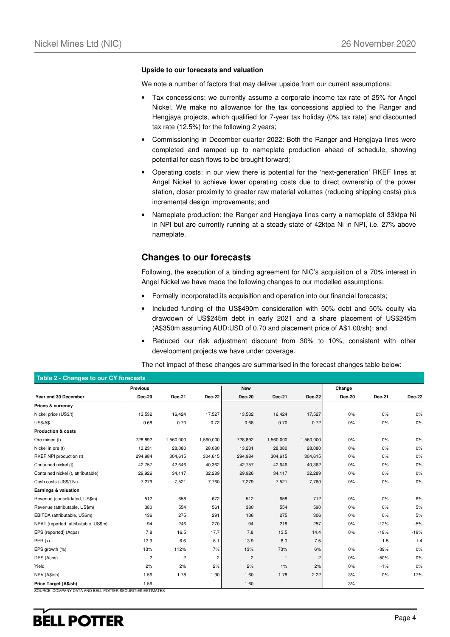#### **Upside to our forecasts and valuation**

We note a number of factors that may deliver upside from our current assumptions:

- Tax concessions: we currently assume a corporate income tax rate of 25% for Angel Nickel. We make no allowance for the tax concessions applied to the Ranger and Hengjaya projects, which qualified for 7-year tax holiday (0% tax rate) and discounted tax rate (12.5%) for the following 2 years;
- Commissioning in December quarter 2022: Both the Ranger and Hengjaya lines were completed and ramped up to nameplate production ahead of schedule, showing potential for cash flows to be brought forward;
- Operating costs: in our view there is potential for the 'next-generation' RKEF lines at Angel Nickel to achieve lower operating costs due to direct ownership of the power station, closer proximity to greater raw material volumes (reducing shipping costs) plus incremental design improvements; and
- Nameplate production: the Ranger and Hengjaya lines carry a nameplate of 33ktpa Ni in NPI but are currently running at a steady-state of 42ktpa Ni in NPI, i.e. 27% above nameplate.

## **Changes to our forecasts**

Following, the execution of a binding agreement for NIC's acquisition of a 70% interest in Angel Nickel we have made the following changes to our modelled assumptions:

- Formally incorporated its acquisition and operation into our financial forecasts;
- Included funding of the US\$490m consideration with 50% debt and 50% equity via drawdown of US\$245m debt in early 2021 and a share placement of US\$245m (A\$350m assuming AUD:USD of 0.70 and placement price of A\$1.00/sh); and
- Reduced our risk adjustment discount from 30% to 10%, consistent with other development projects we have under coverage.

| Table 2 - Changes to our CY forecasts |                 |                |                |                |               |               |               |               |               |
|---------------------------------------|-----------------|----------------|----------------|----------------|---------------|---------------|---------------|---------------|---------------|
|                                       | <b>Previous</b> |                |                | <b>New</b>     |               |               | Change        |               |               |
| Year end 30 December                  | <b>Dec-20</b>   | <b>Dec-21</b>  | <b>Dec-22</b>  | <b>Dec-20</b>  | <b>Dec-21</b> | <b>Dec-22</b> | <b>Dec-20</b> | <b>Dec-21</b> | <b>Dec-22</b> |
| Prices & currency                     |                 |                |                |                |               |               |               |               |               |
| Nickel price (US\$/t)                 | 13,532          | 16,424         | 17,527         | 13,532         | 16,424        | 17,527        | 0%            | 0%            | 0%            |
| <b>US\$/A\$</b>                       | 0.68            | 0.70           | 0.72           | 0.68           | 0.70          | 0.72          | 0%            | $0\%$         | $0\%$         |
| <b>Production &amp; costs</b>         |                 |                |                |                |               |               |               |               |               |
| Ore mined (t)                         | 728,892         | 1,560,000      | 1,560,000      | 728,892        | 1,560,000     | 1,560,000     | 0%            | 0%            | 0%            |
| Nickel in ore (t)                     | 13,231          | 28,080         | 28,080         | 13,231         | 28,080        | 28,080        | 0%            | 0%            | 0%            |
| RKEF NPI production (t)               | 294,984         | 304,615        | 304.615        | 294,984        | 304,615       | 304,615       | 0%            | 0%            | 0%            |
| Contained nickel (t)                  | 42,757          | 42,646         | 40,362         | 42,757         | 42,646        | 40,362        | 0%            | 0%            | 0%            |
| Contained nickel (t, attributable)    | 29,926          | 34,117         | 32,289         | 29,926         | 34,117        | 32,289        | 0%            | 0%            | 0%            |
| Cash costs (US\$/t Ni)                | 7,279           | 7,521          | 7,760          | 7,279          | 7,521         | 7,760         | 0%            | 0%            | 0%            |
| Earnings & valuation                  |                 |                |                |                |               |               |               |               |               |
| Revenue (consolidated, US\$m)         | 512             | 658            | 672            | 512            | 658           | 712           | 0%            | 0%            | 6%            |
| Revenue (attributable, US\$m)         | 380             | 554            | 561            | 380            | 554           | 590           | 0%            | 0%            | 5%            |
| EBITDA (attributable, US\$m)          | 136             | 275            | 291            | 136            | 275           | 306           | 0%            | 0%            | 5%            |
| NPAT (reported, attributable, US\$m)  | 94              | 246            | 270            | 94             | 218           | 257           | 0%            | $-12%$        | $-5%$         |
| EPS (reported) (Acps)                 | 7.8             | 16.5           | 17.7           | 7.8            | 13.5          | 14.4          | 0%            | $-18%$        | $-19%$        |
| PER(x)                                | 13.9            | 6.6            | 6.1            | 13.9           | 8.0           | 7.5           | $\sim$        | 1.5           | 1.4           |
| EPS growth (%)                        | 13%             | 112%           | 7%             | 13%            | 73%           | 6%            | 0%            | $-39%$        | 0%            |
| DPS (Acps)                            | $\overline{c}$  | $\overline{c}$ | $\overline{c}$ | $\overline{c}$ | $\mathbf{1}$  | 2             | 0%            | $-50%$        | 0%            |
| Yield                                 | 2%              | 2%             | 2%             | 2%             | 1%            | 2%            | 0%            | $-1%$         | 0%            |
| NPV (A\$/sh)                          | 1.56            | 1.78           | 1.90           | 1.60           | 1.78          | 2.22          | 3%            | $0\%$         | 17%           |
| Price Target (A\$/sh)                 | 1.56            |                |                | 1.60           |               |               | 3%            |               |               |

The net impact of these changes are summarised in the forecast changes table below:

SOURCE: COMPANY DATA AND BELL POTTER SECURITIES ESTIMATES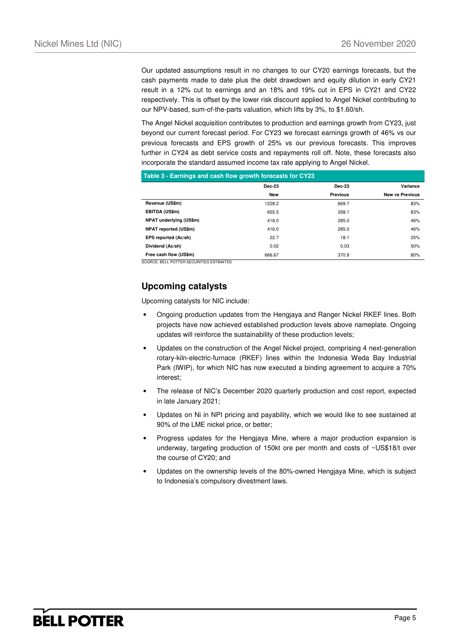Our updated assumptions result in no changes to our CY20 earnings forecasts, but the cash payments made to date plus the debt drawdown and equity dilution in early CY21 result in a 12% cut to earnings and an 18% and 19% cut in EPS in CY21 and CY22 respectively. This is offset by the lower risk discount applied to Angel Nickel contributing to our NPV-based, sum-of-the-parts valuation, which lifts by 3%, to \$1.60/sh.

The Angel Nickel acquisition contributes to production and earnings growth from CY23, just beyond our current forecast period. For CY23 we forecast earnings growth of 46% vs our previous forecasts and EPS growth of 25% vs our previous forecasts. This improves further in CY24 as debt service costs and repayments roll off. Note, these forecasts also incorporate the standard assumed income tax rate applying to Angel Nickel.

| Table 3 - Earnings and cash flow growth forecasts for CY23 |               |                 |                        |  |  |  |  |  |
|------------------------------------------------------------|---------------|-----------------|------------------------|--|--|--|--|--|
|                                                            | <b>Dec-23</b> | <b>Dec-23</b>   | Variance               |  |  |  |  |  |
|                                                            | New           | <b>Previous</b> | <b>New vs Previous</b> |  |  |  |  |  |
| Revenue (US\$m)                                            | 1228.2        | 669.7           | 83%                    |  |  |  |  |  |
| EBITDA (US\$m)                                             | 655.5         | 358.1           | 83%                    |  |  |  |  |  |
| NPAT underlying (US\$m)                                    | 416.0         | 285.0           | 46%                    |  |  |  |  |  |
| <b>NPAT reported (US\$m)</b>                               | 416.0         | 285.0           | 46%                    |  |  |  |  |  |
| EPS reported (Ac/sh)                                       | 22.7          | 18.1            | 25%                    |  |  |  |  |  |
| Dividend (Ac/sh)                                           | 0.02          | 0.03            | 50%                    |  |  |  |  |  |
| Free cash flow (US\$m)                                     | 666.67        | 370.9           | 80%                    |  |  |  |  |  |

SOURCE: BELL POTTER SECURITIES ESTIMATES

## **Upcoming catalysts**

Upcoming catalysts for NIC include:

- Ongoing production updates from the Hengjaya and Ranger Nickel RKEF lines. Both projects have now achieved established production levels above nameplate. Ongoing updates will reinforce the sustainability of these production levels;
- Updates on the construction of the Angel Nickel project, comprising 4 next-generation rotary-kiln-electric-furnace (RKEF) lines within the Indonesia Weda Bay Industrial Park (IWIP), for which NIC has now executed a binding agreement to acquire a 70% interest;
- The release of NIC's December 2020 quarterly production and cost report, expected in late January 2021;
- Updates on Ni in NPI pricing and payability, which we would like to see sustained at 90% of the LME nickel price, or better;
- Progress updates for the Hengjaya Mine, where a major production expansion is underway, targeting production of 150kt ore per month and costs of ~US\$18/t over the course of CY20; and
- Updates on the ownership levels of the 80%-owned Hengjaya Mine, which is subject to Indonesia's compulsory divestment laws.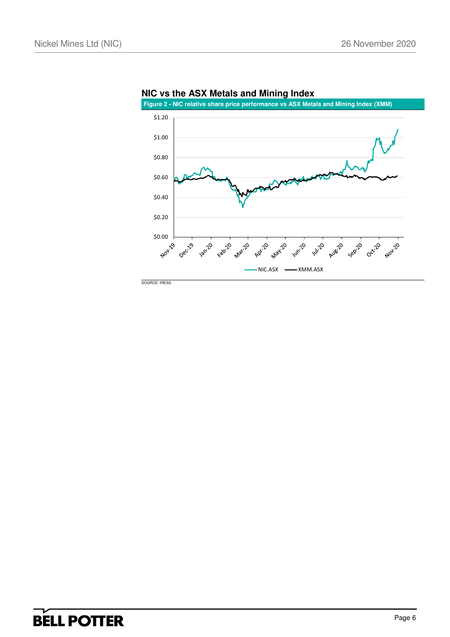

**NIC vs the ASX Metals and Mining Index**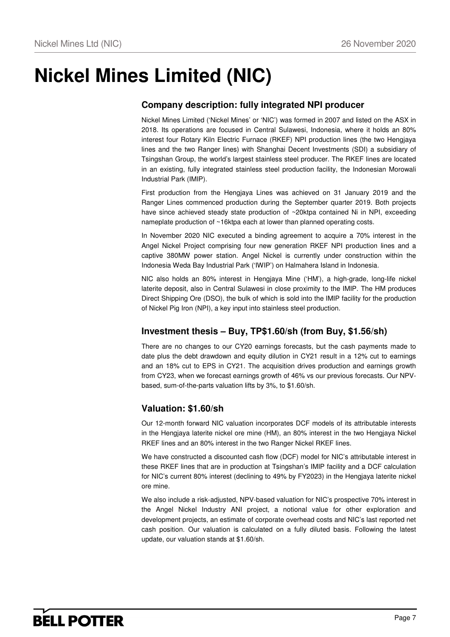# **Nickel Mines Limited (NIC)**

## **Company description: fully integrated NPI producer**

Nickel Mines Limited ('Nickel Mines' or 'NIC') was formed in 2007 and listed on the ASX in 2018. Its operations are focused in Central Sulawesi, Indonesia, where it holds an 80% interest four Rotary Kiln Electric Furnace (RKEF) NPI production lines (the two Hengjaya lines and the two Ranger lines) with Shanghai Decent Investments (SDI) a subsidiary of Tsingshan Group, the world's largest stainless steel producer. The RKEF lines are located in an existing, fully integrated stainless steel production facility, the Indonesian Morowali Industrial Park (IMIP).

First production from the Hengjaya Lines was achieved on 31 January 2019 and the Ranger Lines commenced production during the September quarter 2019. Both projects have since achieved steady state production of ~20ktpa contained Ni in NPI, exceeding nameplate production of ~16ktpa each at lower than planned operating costs.

In November 2020 NIC executed a binding agreement to acquire a 70% interest in the Angel Nickel Project comprising four new generation RKEF NPI production lines and a captive 380MW power station. Angel Nickel is currently under construction within the Indonesia Weda Bay Industrial Park ('IWIP') on Halmahera Island in Indonesia.

NIC also holds an 80% interest in Hengjaya Mine ('HM'), a high-grade, long-life nickel laterite deposit, also in Central Sulawesi in close proximity to the IMIP. The HM produces Direct Shipping Ore (DSO), the bulk of which is sold into the IMIP facility for the production of Nickel Pig Iron (NPI), a key input into stainless steel production.

## **Investment thesis – Buy, TP\$1.60/sh (from Buy, \$1.56/sh)**

There are no changes to our CY20 earnings forecasts, but the cash payments made to date plus the debt drawdown and equity dilution in CY21 result in a 12% cut to earnings and an 18% cut to EPS in CY21. The acquisition drives production and earnings growth from CY23, when we forecast earnings growth of 46% vs our previous forecasts. Our NPVbased, sum-of-the-parts valuation lifts by 3%, to \$1.60/sh.

## **Valuation: \$1.60/sh**

Our 12-month forward NIC valuation incorporates DCF models of its attributable interests in the Hengjaya laterite nickel ore mine (HM), an 80% interest in the two Hengjaya Nickel RKEF lines and an 80% interest in the two Ranger Nickel RKEF lines.

We have constructed a discounted cash flow (DCF) model for NIC's attributable interest in these RKEF lines that are in production at Tsingshan's IMIP facility and a DCF calculation for NIC's current 80% interest (declining to 49% by FY2023) in the Hengjaya laterite nickel ore mine.

We also include a risk-adjusted, NPV-based valuation for NIC's prospective 70% interest in the Angel Nickel Industry ANI project, a notional value for other exploration and development projects, an estimate of corporate overhead costs and NIC's last reported net cash position. Our valuation is calculated on a fully diluted basis. Following the latest update, our valuation stands at \$1.60/sh.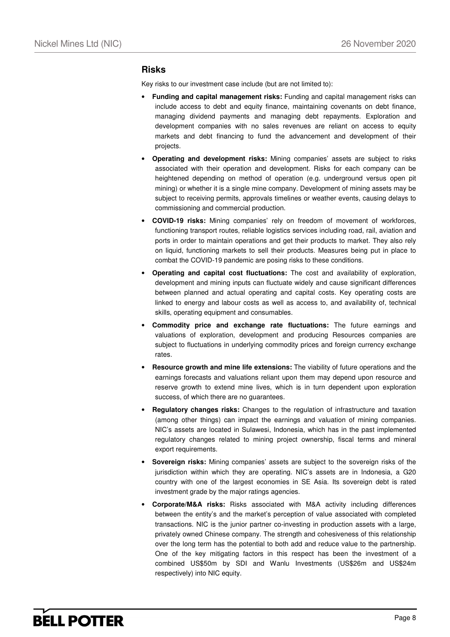## **Risks**

Key risks to our investment case include (but are not limited to):

- **Funding and capital management risks:** Funding and capital management risks can include access to debt and equity finance, maintaining covenants on debt finance, managing dividend payments and managing debt repayments. Exploration and development companies with no sales revenues are reliant on access to equity markets and debt financing to fund the advancement and development of their projects.
- **Operating and development risks:** Mining companies' assets are subject to risks associated with their operation and development. Risks for each company can be heightened depending on method of operation (e.g. underground versus open pit mining) or whether it is a single mine company. Development of mining assets may be subject to receiving permits, approvals timelines or weather events, causing delays to commissioning and commercial production.
- **COVID-19 risks:** Mining companies' rely on freedom of movement of workforces, functioning transport routes, reliable logistics services including road, rail, aviation and ports in order to maintain operations and get their products to market. They also rely on liquid, functioning markets to sell their products. Measures being put in place to combat the COVID-19 pandemic are posing risks to these conditions.
- **Operating and capital cost fluctuations:** The cost and availability of exploration, development and mining inputs can fluctuate widely and cause significant differences between planned and actual operating and capital costs. Key operating costs are linked to energy and labour costs as well as access to, and availability of, technical skills, operating equipment and consumables.
- **Commodity price and exchange rate fluctuations:** The future earnings and valuations of exploration, development and producing Resources companies are subject to fluctuations in underlying commodity prices and foreign currency exchange rates.
- **Resource growth and mine life extensions:** The viability of future operations and the earnings forecasts and valuations reliant upon them may depend upon resource and reserve growth to extend mine lives, which is in turn dependent upon exploration success, of which there are no guarantees.
- **Regulatory changes risks:** Changes to the regulation of infrastructure and taxation (among other things) can impact the earnings and valuation of mining companies. NIC's assets are located in Sulawesi, Indonesia, which has in the past implemented regulatory changes related to mining project ownership, fiscal terms and mineral export requirements.
- **Sovereign risks:** Mining companies' assets are subject to the sovereign risks of the jurisdiction within which they are operating. NIC's assets are in Indonesia, a G20 country with one of the largest economies in SE Asia. Its sovereign debt is rated investment grade by the major ratings agencies.
- **Corporate/M&A risks:** Risks associated with M&A activity including differences between the entity's and the market's perception of value associated with completed transactions. NIC is the junior partner co-investing in production assets with a large, privately owned Chinese company. The strength and cohesiveness of this relationship over the long term has the potential to both add and reduce value to the partnership. One of the key mitigating factors in this respect has been the investment of a combined US\$50m by SDI and Wanlu Investments (US\$26m and US\$24m respectively) into NIC equity.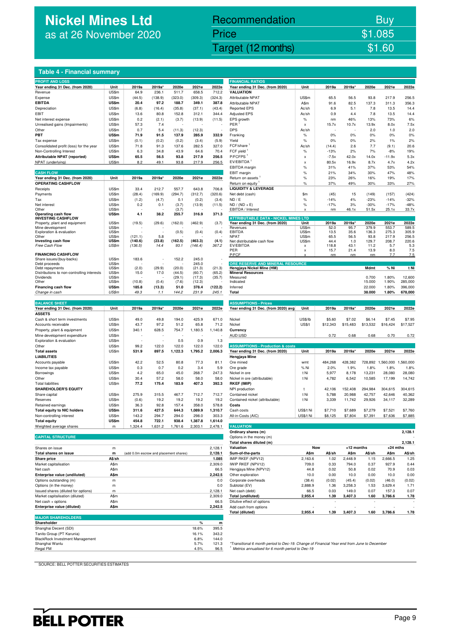# **Nickel Mines Ltd** as at 26 November 2020

# Recommendation Buy Price \$1.085

Nickel Mines Ltd (Nickel Mines Ltd (Nickel Mines Ltd (Nickel Mines Ltd (Nickel Mines Ltd Computer) \$1.60

## **Table 4 - Financial summary**

| <b>PROFIT AND LOSS</b>                                                 |              |         |                                        |         |              |               | <b>FINANCIAL RATIOS</b>                                                                                                                                    |               |          |            |                          |                   |                 |
|------------------------------------------------------------------------|--------------|---------|----------------------------------------|---------|--------------|---------------|------------------------------------------------------------------------------------------------------------------------------------------------------------|---------------|----------|------------|--------------------------|-------------------|-----------------|
| Year ending 31 Dec. (from 2020)                                        | Unit         | 2019a   | 2019a*                                 | 2020e   | 2021e        | 2022e         | Year ending 31 Dec. (from 2020)                                                                                                                            | Unit          | 2019a    | 2019a      | 2020e                    | 2021e             | 2022e           |
| Revenue                                                                | US\$m        | 64.9    | 236.1                                  | 511.7   | 658.5        | 712.2         | <b>VALUATION</b>                                                                                                                                           |               |          |            |                          |                   |                 |
| Expense                                                                | US\$m        | (44.5)  | (138.9)                                | (323.0) | (309.3)      | (324.3)       | Attributable NPAT                                                                                                                                          | US\$m         | 65.5     | 56.5       | 93.8                     | 217.9             | 256.5           |
| <b>EBITDA</b>                                                          | US\$m        | 20.4    | 97.2                                   | 188.7   | 349.1        | 387.8         | Attributable NPAT                                                                                                                                          | A\$m          | 91.6     | 82.5       | 137.3                    | 311.3             | 356.3           |
| Depreciation                                                           | US\$m        | (6.8)   | (16.4)                                 | (35.8)  | (37.1)       | (43.4)        | <b>Reported EPS</b>                                                                                                                                        | Ac/sh         | 6.9      | 5.1        | 7.8                      | 13.5              | 14.4            |
| EBIT                                                                   | US\$m        | 13.6    | 80.8                                   | 152.8   | 312.1        | 344.4         | <b>Adjusted EPS</b>                                                                                                                                        | Ac/sh         | 0.9      | 4.4        | 7.8                      | 13.5              | 14.4            |
| Net interest expense                                                   | US\$m        | 0.2     | (2.1)                                  | (3.7)   | (13.9)       | (11.5)        | EPS growth                                                                                                                                                 | $\%$          | nm       | 46%        | 13%                      | 73%               | 6%              |
| Unrealised gains (Impairments)                                         | US\$m        | 57.3    | 7.4                                    |         |              |               | PER                                                                                                                                                        | x             | 15.7x    | 10.7x      | 13.9x                    | 8.0x              | 7.5x            |
| Other                                                                  | US\$m        | 0.7     | 5.4                                    | (11.3)  | (12.3)       |               | <b>DPS</b>                                                                                                                                                 | Ac/sh         |          |            | 2.0                      | 1.0               | 2.0             |
| PBT                                                                    | <b>US\$m</b> | 71.9    | 91.5                                   | 137.9   | 285.9        | 332.9         | Franking                                                                                                                                                   | $\%$          | 0%       | 0%         | 0%                       | 0%                | 0%              |
| Tax expense                                                            | US\$m        | (0.1)   | (0.2)                                  | (0.2)   | (3.4)        | (5.9)         | Yield                                                                                                                                                      | $\%$          | 0%       | 0%         | 2%                       | 1%                | 2%              |
| Consolidated profit (loss) for the year                                | US\$m        | 71.8    | 91.3                                   | 137.6   | 282.5        | 327.0         | FCF/share                                                                                                                                                  | Ac/sh         | (14.4)   | 2.6        | 7.7                      | (9.1)             | 20.6            |
| Non-Controlling Interest                                               | US\$m        | 6.3     | 34.8                                   | 43.9    | 64.6         | 70.4          | FCF yield                                                                                                                                                  | $\%$          | $-13%$   | 2%         | 7%                       | $-8%$             | 19%             |
| Attributable NPAT (reported)                                           | <b>US\$m</b> | 65.5    | 56.5                                   | 93.8    | 217.9        | 256.5         | P/FCFPS                                                                                                                                                    |               | $-7.5x$  | 42.0x      | 14.0x                    | $-11.9x$          | 5.3x            |
|                                                                        |              |         |                                        |         |              |               |                                                                                                                                                            | x             |          |            |                          |                   |                 |
| NPAT (underlying)                                                      | US\$m        | 8.2     | 49.1                                   | 93.8    | 217.9        | 256.5         | EV/EBITDA <sup>1</sup>                                                                                                                                     | x             | 80.5x    | 16.9x      | 8.7x                     | 4.7x              | 4.2x            |
|                                                                        |              |         |                                        |         |              |               | EBITDA margin                                                                                                                                              | $\%$          | 31%      | 41%        | 37%                      | 53%               | 54%             |
| <b>CASH FLOW</b>                                                       |              |         |                                        |         |              |               | EBIT margin                                                                                                                                                | $\%$          | 21%      | 34%        | 30%                      | 47%               | 48%             |
| Year ending 31 Dec. (from 2020)                                        | Unit         | 2019a   | 2019a*                                 | 2020e   | 2021e        | 2022e         | Return on assets                                                                                                                                           | $\%$          | 23%      | 26%        | 16%                      | 19%               | 17%             |
| <b>OPERATING CASHFLOW</b>                                              |              |         |                                        |         |              |               | Return on equity                                                                                                                                           | %             | 37%      | 49%        | 30%                      | 33%               | 27%             |
| Receipts                                                               | US\$m        | 33.4    | 212.7                                  | 557.7   | 643.8        | 706.8         | <b>LIQUIDITY &amp; LEVERAGE</b>                                                                                                                            |               |          |            |                          |                   |                 |
| Payments                                                               | US\$m        | (28.4)  | (169.9)                                | (294.7) | (312.7)      | (320.6)       | Net debt (cash)                                                                                                                                            | \$m           | (45)     | 15         | (149)                    | (157)             | (424)           |
| Tax                                                                    | US\$m        | (1.2)   | (4.7)                                  | 0.1     | (0.2)        | (3.4)         | ND / E                                                                                                                                                     | $\%$          | $-14%$   | 4%         | $-23%$                   | $-14%$            | $-32%$          |
| Net interest                                                           | US\$m        | 0.2     | 0.1                                    | (3.7)   | (13.9)       | (11.5)        | $ND / (ND + E)$                                                                                                                                            | $\%$          | $-17%$   | 3%         | $-30%$                   | $-17%$            | $-48%$          |
| Other                                                                  | US\$m        |         |                                        | (3.7)   |              |               | EBITDA / Interest                                                                                                                                          | x             | nm       | 46.1x      | 51.5x                    | 25.1x             | 33.7x           |
| Operating cash flow<br><b>INVESTING CASHFLOW</b>                       | US\$m        | 4.1     | 38.2                                   | 255.7   | 316.9        | 371.3         | <b>ATTRIBUTABLE DATA - NICKEL MINES LTD</b>                                                                                                                |               |          |            |                          |                   |                 |
| Property, plant and equipment                                          | US\$m        | (19.5)  | (29.6)                                 | (162.0) | (462.9)      | (3.7)         | Year ending 31 Dec. (from 2020)                                                                                                                            | Unit          | 2019a    | 2019a      | 2020e                    | 2021e             | 2022e           |
| Mine development                                                       | US\$m        |         |                                        |         |              |               | Revenues                                                                                                                                                   | US\$m         | 52.0     | 95.7       | 379.9                    | 553.7             | 589.5           |
| Exploration & evaluation                                               | US\$m        |         |                                        | (0.5)   | (0.4)        | (0.4)         | EBITDA                                                                                                                                                     | US\$m         | 13.5     | 35.6       | 136.3                    | 275.3             | 305.9           |
| Other                                                                  | US\$m        | (121.1) | 5.8                                    |         |              |               | NPAT                                                                                                                                                       | US\$m         | 65.5     | 56.5       | 93.8                     | 217.9             | 256.5           |
| Investing cash flow                                                    | US\$m        | (140.6) | (23.8)                                 | (162.5) | (463.3)      | (4.1)         | Net distributable cash flow                                                                                                                                | US\$m         | 44.4     | 1.0        | 129.7                    | 208.7             | 220.6           |
| Free Cash Flow                                                         | US\$m        | (136.5) | 14.4                                   | 93.1    | (146.4)      | 367.2         | EV/EBITDA                                                                                                                                                  | x             | 118.8    | 43.1       | 11.2                     | 5.7               | 5.3             |
|                                                                        |              |         |                                        |         |              |               | PER                                                                                                                                                        | x             | 15.7     | 21.4       | 13.9                     | 8.0               | 7.5             |
| <b>FINANCING CASHFLOW</b>                                              | US\$m        |         |                                        | 152.2   | 245.0        |               | P/FCF                                                                                                                                                      |               | nm       | nm         | nm                       | 7.7               | 7.5             |
| Share issues/(buy-backs)<br>Debt proceeds                              | US\$m        | 183.6   |                                        |         | 245.0        |               | ORE RESERVE AND MINERAL RESOURCE                                                                                                                           |               |          |            |                          |                   |                 |
| Debt repayments                                                        | US\$m        | (2.0)   | (29.9)                                 | (20.0)  | (21.3)       | (21.3)        | Hengjaya Nickel Mine (HM)                                                                                                                                  |               |          |            | Mdmt                     | % Ni              | t Ni            |
| Distributions to non-controlling interests                             | US\$m        | 15.0    | 17.0                                   | (44.5)  | (60.7)       | (65.2)        | <b>Mineral Resources</b>                                                                                                                                   |               |          |            |                          |                   |                 |
| Dividends                                                              | US\$m        |         |                                        | (29.1)  | (17.3)       | (35.7)        | Measured                                                                                                                                                   |               |          |            | 0.700                    | 1.80%             | 12,600          |
| Other                                                                  | US\$m        | (10.8)  | (0.4)                                  | (7.6)   | (12.3)       |               | Indicated                                                                                                                                                  |               |          |            | 15.000                   | 1.90%             | 285,000         |
| Financing cash flow                                                    | US\$m        | 185.8   | (13.3)                                 | 51.0    | 378.4        | (122.2)       | Inferred                                                                                                                                                   |               |          |            | 22.000                   | 1.80%             | 396,000         |
| Change in cash                                                         | US\$m        | 49.3    | 1.1                                    | 144.2   | 231.9        | 245.1         | Total                                                                                                                                                      |               |          |            | 38.000                   | 1.80%             | 678,000         |
|                                                                        |              |         |                                        |         |              |               |                                                                                                                                                            |               |          |            |                          |                   |                 |
| <b>BALANCE SHEET</b>                                                   |              |         |                                        |         |              |               | <b>ASSUMPTIONS - Prices</b>                                                                                                                                |               |          |            |                          |                   |                 |
| Year ending 31 Dec. (from 2020)                                        | Unit         | 2019a   | 2019a*                                 | 2020e   | 2021e        | 2022e         | Year ending 31 Dec. (from 2020) avg                                                                                                                        | Unit          | 2019a    | 2019a*     | 2020e                    | 2021e             | 2022e           |
| <b>ASSETS</b>                                                          |              |         |                                        |         |              |               |                                                                                                                                                            |               |          |            |                          |                   |                 |
| Cash & short term investments                                          | US\$m        | 49.0    | 49.8                                   | 194.0   | 425.9        | 671.0         | Nickel                                                                                                                                                     | US\$/lb       | \$5.60   | \$7.02     | \$6.14                   | \$7.45            | \$7.95          |
| Accounts receivable                                                    | US\$m        | 43.7    | 97.2                                   | 51.2    | 65.8         | 71.2          | Nickel                                                                                                                                                     | <b>US\$/t</b> | \$12,343 | \$15,483   | \$13,532                 | \$16,424          | \$17,527        |
| Property, plant & equipment                                            | US\$m        | 340.1   | 628.5                                  | 754.7   | 1,180.5      | 1,140.8       | Currency                                                                                                                                                   |               |          |            |                          |                   |                 |
| Mine development expenditure                                           | US\$m        |         |                                        |         |              |               | AUD:USD                                                                                                                                                    |               | 0.72     | 0.68       | 0.68                     | 0.70              | 0.72            |
| Exploration & evaluation                                               | US\$m        |         |                                        | 0.5     | 0.9          | 1.3           |                                                                                                                                                            |               |          |            |                          |                   |                 |
| Other                                                                  | US\$m        | 99.2    | 122.0                                  | 122.0   | 122.0        | 122.0         | <b>ASSUMPTIONS - Production &amp; costs</b>                                                                                                                |               |          |            |                          |                   |                 |
|                                                                        |              |         |                                        |         |              |               |                                                                                                                                                            |               |          |            |                          |                   |                 |
| <b>Total assets</b>                                                    | US\$m        | 531.9   | 897.5                                  | 1,122.3 | 1,795.2      | 2,006.3       | Year ending 31 Dec. (from 2020)                                                                                                                            | Unit          | 2019a    | 2019a*     | 2020e                    | 2021e             | 2022e           |
| <b>LIABILITIES</b>                                                     |              |         |                                        |         |              |               | Hengjaya Mine                                                                                                                                              |               |          |            |                          |                   |                 |
| Accounts payable                                                       | US\$m        | 42.2    | 52.5                                   | 80.8    | 77.3         | 81.1          | Ore mined                                                                                                                                                  | wmt           | 484,268  | 428,382    |                          | 728,892 1,560,000 | 1,560,000       |
| Income tax payable                                                     | US\$m        | 0.3     | 0.7                                    | 0.2     | 3.4          | 5.9           | Ore grade                                                                                                                                                  | % Ni          | 2.0%     | 1.9%       | 1.8%                     | 1.8%              | 1.8%            |
| Borrowings                                                             | US\$m        | 4.2     | 65.0                                   | 45.0    | 268.7        | 247.3         | Nickel in ore                                                                                                                                              | t Ni          | 5,977    | 8,178      | 13,231                   | 28,080            | 28,080          |
| Other                                                                  | US\$m        | 30.4    | 57.2                                   | 58.0    | 58.0         | 58.0          | Nickel in ore (attributable)                                                                                                                               | t Ni          | 4,782    | 6,542      | 10,585                   | 17,199            | 14,742          |
| <b>Total liabilities</b>                                               | US\$m        | 77.2    | 175.4                                  | 183.9   | 407.3        | 392.3         | <b>RKEF (IMIP)</b>                                                                                                                                         |               |          |            |                          |                   |                 |
| <b>SHAREHOLDER'S EQUITY</b>                                            |              |         |                                        |         |              |               | NPI production                                                                                                                                             | t             | 42,106   | 152.408    | 294,984                  | 304.615           | 304.615         |
| Share capital                                                          | US\$m        | 275.9   | 315.5                                  | 467.7   | 712.7        | 712.7         | Contained nickel                                                                                                                                           | t Ni          | 5,788    | 20,988     | 42,757                   | 42,646            | 40,362          |
| Reserves                                                               | US\$m        | (0.6)   | 19.2                                   | 19.2    | 19.2         | 19.2          | Contained nickel (attributable)                                                                                                                            | t Ni          | 3,339    | 11,742     | 29,926                   | 34,117            | 32,289          |
| Retained earnings                                                      | US\$m        | 36.3    | 92.8                                   | 157.4   | 358.0        | 578.8         | Costs                                                                                                                                                      |               |          |            |                          |                   |                 |
| <b>Total equity to NIC holders</b>                                     |              |         |                                        |         |              | 1,310.7       |                                                                                                                                                            |               |          |            |                          | \$7,521           | \$7,760         |
|                                                                        | US\$m        | 311.6   | 427.5                                  | 644.3   | 1,089.9      |               | Cash costs                                                                                                                                                 | US\$/t Ni     | \$7,710  | \$7,689    | \$7,279                  |                   | \$7,885         |
|                                                                        |              |         |                                        |         |              |               |                                                                                                                                                            |               |          |            |                          |                   |                 |
| Non-controlling interest                                               | US\$m        | 143.2   | 294.7                                  | 294.0   | 298.0        | 303.3         | All-in-Costs (AIC)                                                                                                                                         | US\$/t Ni     | \$8,125  | \$7,804    | \$7,391                  | \$7,636           |                 |
| <b>Total equity</b>                                                    | US\$m        | 454.8   | 722.1                                  | 938.4   | 1,387.8      | 1,614.0       |                                                                                                                                                            |               |          |            |                          |                   |                 |
| Weighted average shares                                                | m            | 1,324.4 | 1,631.2                                | 1,761.6 | 2,303.1      | 2,478.1       | <b>VALUATION</b>                                                                                                                                           |               |          |            |                          |                   |                 |
|                                                                        |              |         |                                        |         |              |               | Ordinary shares (m)                                                                                                                                        |               |          |            |                          |                   | 2,128.1         |
| <b>CAPITAL STRUCTURE</b>                                               |              |         |                                        |         |              |               | Options in the money (m)                                                                                                                                   |               |          |            |                          |                   |                 |
|                                                                        |              |         |                                        |         |              |               | Total shares diluted (m)                                                                                                                                   |               |          |            |                          |                   |                 |
| Shares on issue                                                        | m            |         |                                        |         |              | 2,128.1       | Valuation                                                                                                                                                  | <b>Now</b>    |          | +12 months |                          | $+24$ mths        |                 |
| Total shares on issue                                                  | m            |         | (add 0.0m escrow and placement shares) |         |              | 2,128.1       | Sum-of-the-parts                                                                                                                                           | A\$m          | A\$/sh   | A\$m       | A\$/sh                   | A\$m              | A\$/sh          |
| Share price                                                            | A\$/sh       |         |                                        |         |              | 1.085         | IMIP RKEF (NPV12)                                                                                                                                          | 2,163.6       | 1.02     | 2,448.9    | 1.15                     | 2,666.5           | 1.25            |
| Market capitalisation                                                  | A\$m         |         |                                        |         |              | 2,309.0       | IWIP RKEF (NPV12)                                                                                                                                          | 709.0         | 0.33     | 794.0      | 0.37                     | 927.9             | 0.44            |
| Net cash                                                               | A\$m         |         |                                        |         |              | 66.5          | Hengjaya Mine (NPV12)                                                                                                                                      | 44.8          | 0.02     | 50.8       | 0.02                     | 70.9              | 0.03            |
| Enterprise value (undiluted)                                           | A\$m         |         |                                        |         |              | 2,242.5       | Other exploration                                                                                                                                          | 10.0          | 0.00     | 10.0       | 0.00                     | 10.0              | 0.00            |
| Options outstanding (m)                                                | m            |         |                                        |         |              | 0.0           | Corporate overheads                                                                                                                                        | (38.4)        | (0.02)   | (45.4)     | (0.02)                   | (46.0)            | (0.02)          |
| Options (in the money)                                                 | m            |         |                                        |         |              | 0.0           | Subtotal (EV)                                                                                                                                              | 2,888.9       | 1.36     | 3,258.3    | 1.53                     | 3,629.4           | 1.71            |
|                                                                        | ${\sf m}$    |         |                                        |         |              | 2,128.1       | Net cash (debt)                                                                                                                                            | 66.5          | 0.03     | 149.0      | 0.07                     | 157.3             | 0.07            |
| Issued shares (diluted for options)<br>Market capitalisation (diluted) |              |         |                                        |         |              |               | Total (undiluted)                                                                                                                                          | 2,955.4       |          | 3,407.3    | 1.60                     |                   | 1.78            |
|                                                                        | A\$m<br>A\$m |         |                                        |         |              | 2,309.0       |                                                                                                                                                            |               | 1.39     |            | $\overline{\phantom{a}}$ | 3,786.6           |                 |
| Net cash + options                                                     |              |         |                                        |         |              | 66.5          | Dilutive effect of options                                                                                                                                 |               |          |            |                          |                   |                 |
| Enterprise value (diluted)                                             | A\$m         |         |                                        |         |              | 2,242.5       | Add cash from options                                                                                                                                      |               |          |            |                          |                   |                 |
|                                                                        |              |         |                                        |         |              |               | Total (diluted)                                                                                                                                            | 2,955.4       | 1.39     | 3,407.3    | 1.60                     | 3,786.6           | 2,128.1<br>1.78 |
| <b>MAJOR SHAREHOLDERS</b>                                              |              |         |                                        |         |              |               |                                                                                                                                                            |               |          |            |                          |                   |                 |
| Shareholder                                                            |              |         |                                        |         | %            | m             |                                                                                                                                                            |               |          |            |                          |                   |                 |
| Shanghai Decent (SDI)                                                  |              |         |                                        |         | 18.6%        | 395.5         |                                                                                                                                                            |               |          |            |                          |                   |                 |
| Tanito Group (PT Karunia)                                              |              |         |                                        |         | 16.1%        | 343.2         |                                                                                                                                                            |               |          |            |                          |                   |                 |
| <b>BlackRock Investment Management</b>                                 |              |         |                                        |         | 6.8%         | 144.0         |                                                                                                                                                            |               |          |            |                          |                   |                 |
| Shanghai Wanlu<br>Regal FM                                             |              |         |                                        |         | 5.7%<br>4.5% | 121.3<br>96.5 | *Transitional 6 month period to Dec-19. Change of Financial Year end from June to December<br><sup>1</sup> Metrics annualised for 6 month period to Dec-19 |               |          |            |                          |                   |                 |

| <b>FINANCIAL RATIOS</b>                                       |                   |                |                   |                  |                             |                    |
|---------------------------------------------------------------|-------------------|----------------|-------------------|------------------|-----------------------------|--------------------|
| Year ending 31 Dec. (from 2020)<br>VALUATION                  | Unit              | 2019a          | 2019a*            | 2020e            | 2021e                       | 2022e              |
| Attributable NPAT                                             | US\$m             | 65.5           | 56.5              | 93.8             | 217.9                       | 256.5              |
| Attributable NPAT                                             | A\$m              | 91.6           | 82.5              | 137.3            | 311.3                       | 356.3              |
| <b>Reported EPS</b>                                           | Ac/sh             | 6.9            | 5.1               | 7.8              | 13.5                        | 14.4               |
| <b>Adjusted EPS</b>                                           | Ac/sh             | 0.9            | 4.4               | 7.8              | 13.5                        | 14.4               |
| EPS growth                                                    | %                 | nm             | 46%               | 13%              | 73%                         | 6%                 |
| PER                                                           | x                 | 15.7x          | 10.7x             | 13.9x            | 8.0x                        | 7.5x               |
| DPS<br>Franking                                               | Ac/sh<br>%        | 0%             | 0%                | 2.0<br>0%        | 1.0<br>0%                   | 2.0<br>0%          |
| Yield                                                         | %                 | 0%             | 0%                | 2%               | 1%                          | 2%                 |
| FCF/share 1                                                   | Ac/sh             | (14.4)         | 2.6               | 7.7              | (9.1)                       | 20.6               |
| FCF yield $^1$                                                | %                 | -13%           | 2%                | 7%               | -8%                         | 19%                |
| P/FCFPS <sup>1</sup>                                          | x                 | $-7.5x$        | 42.0x             | 14.0x            | $-11.9x$                    | 5.3x               |
| EV/EBITDA '                                                   | x                 | 80.5x          | 16.9x             | 8.7x             | 4.7x                        | 4.2x               |
| <b>EBITDA</b> margin                                          | %                 | 31%            | 41%<br>34%        | 37%              | 53%                         | 54%                |
| EBIT margin<br>Return on assets '                             | %<br>%            | 21%<br>23%     | 26%               | 30%<br>16%       | 47%<br>19%                  | 48%<br>17%         |
| Return on equity <sup>1</sup>                                 | %                 | 37%            | 49%               | 30%              | 33%                         | 27%                |
| <b>LIQUIDITY &amp; LEVERAGE</b>                               |                   |                |                   |                  |                             |                    |
| Net debt (cash)                                               | \$m               | (45)           | 15                | (149)            | (157)                       | (424)              |
| ND / E                                                        | %                 | $-14%$         | 4%                | $-23%$           | $-14%$                      | $-32%$             |
| ND / (ND + E)                                                 | %                 | $-17%$         | 3%                | $-30%$           | $-17%$                      | $-48%$             |
| EBITDA / Interest                                             | x                 | nm             | 46.1x             | 51.5x            | 25.1x                       | 33.7x              |
| <b>ATTRIBUTABLE DATA - NICKEL MINES LTD</b>                   |                   |                |                   |                  |                             |                    |
| Year ending 31 Dec. (from 2020)                               | Unit              | 2019a          | 2019a*            | 2020e            | 2021e                       | 2022e              |
| Revenues<br>EBITDA                                            | US\$m<br>US\$m    | 52.0<br>13.5   | 95.7<br>35.6      | 379.9<br>136.3   | 553.7<br>275.3              | 589.5<br>305.9     |
| NPAT                                                          | US\$m             | 65.5           | 56.5              | 93.8             | 217.9                       | 256.5              |
| Net distributable cash flow                                   | US\$m             | 44.4           | 1.0               | 129.7            | 208.7                       | 220.6              |
| <b>FV/FBITDA</b><br>PER                                       | x                 | 118.8          | 43.1<br>21.4      | 11.2             | 5.7                         | 5.3                |
| P/FCF                                                         | X<br>x            | 15.7<br>nm     | nm                | 13.9<br>nm       | 8.0<br>7.7                  | 7.5<br>7.5         |
|                                                               |                   |                |                   |                  |                             |                    |
| ORE RESERVE AND MINERAL RESOURCE<br>Hengjaya Nickel Mine (HM) |                   |                |                   | Mdmt             | % Ni                        | t Ni               |
| <b>Mineral Resources</b>                                      |                   |                |                   |                  |                             |                    |
| Measured                                                      |                   |                |                   | 0.700            | 1.80%                       | 12,600             |
| Indicated                                                     |                   |                |                   | 15.000           | 1.90%                       | 285,000            |
| Inferred<br>Total                                             |                   |                |                   | 22.000<br>38.000 | 1.80%<br>1.80%              | 396,000<br>678,000 |
|                                                               |                   |                |                   |                  |                             |                    |
| <b>ASSUMPTIONS - Prices</b>                                   |                   |                |                   |                  |                             |                    |
| Year ending 31 Dec. (from 2020) avg                           | Unit              | 2019a          | 2019a*            | 2020e            | 2021e                       | 2022e              |
|                                                               |                   |                |                   |                  |                             |                    |
| Nickel                                                        | US\$/lb           | \$5.60         | \$7.02            | \$6.14           | \$7.45                      | \$7.95             |
| Nickel<br>Currency                                            | <b>US\$/t</b>     | \$12,343       | \$15,483          | \$13,532         | \$16,424                    | \$17,527           |
| AUD:USD                                                       |                   | 0.72           | 0.68              | 0.68             | 0.70                        | 0.72               |
|                                                               |                   |                |                   |                  |                             |                    |
| <b>ASSUMPTIONS - Production &amp; costs</b>                   |                   |                |                   |                  |                             |                    |
| Year ending 31 Dec. (from 2020)                               | Unit              | 2019a          | 2019a*            | 2020e            | 2021e                       | 2022e              |
| Hengjaya Mine                                                 |                   |                |                   |                  |                             |                    |
| Ore mined                                                     | wmt               | 484,268        | 428,382           |                  | 728,892 1,560,000 1,560,000 |                    |
| Ore grade                                                     | % Ni              | 2.0%           | 1.9%              | 1.8%             | 1.8%                        | 1.8%               |
| Nickel in ore                                                 | t Ni              | 5,977          | 8,178             | 13,231           | 28,080                      | 28,080             |
| Nickel in ore (attributable)<br>RKEF (IMIP)                   | t Ni              | 4,782          | 6,542             | 10,585           | 17,199                      | 14,742             |
| NPI production                                                | t                 | 42,106         | 152,408           | 294,984          | 304,615                     | 304,615            |
| Contained nickel                                              | t Ni              | 5,788          | 20,988            | 42,757           | 42,646                      | 40,362             |
| Contained nickel (attributable)                               | t Ni              | 3,339          | 11,742            | 29,926           | 34,117                      | 32,289             |
| Costs                                                         |                   |                |                   |                  |                             |                    |
| Cash costs                                                    | US\$/t Ni         | \$7,710        | \$7,689           | \$7,279          | \$7,521                     | \$7,760            |
| All-in-Costs (AIC)                                            | US\$/t Ni         | \$8,125        | \$7,804           | \$7,391          | \$7,636                     | \$7,885            |
| <b>VALUATION</b>                                              |                   |                |                   |                  |                             |                    |
| Ordinary shares (m)                                           |                   |                |                   |                  |                             | 2,128.1            |
| Options in the money (m)                                      |                   |                |                   |                  |                             |                    |
| Total shares diluted (m)                                      |                   |                |                   |                  |                             | 2,128.1            |
| Valuation                                                     | <b>Now</b>        |                | +12 months        |                  | $+24$ mths                  |                    |
| Sum-of-the-parts                                              | A\$m              | A\$/sh         | <b>A\$m</b>       | A\$/sh           | A\$m                        | A\$/sh             |
| IMIP RKEF (NPV12)                                             | 2,163.6           | 1.02           | 2,448.9           | 1.15             | 2,666.5                     | 1.25               |
| IWIP RKEF (NPV12)                                             | 709.0             | 0.33           | 794.0             | 0.37             | 927.9                       | 0.44               |
| Hengjaya Mine (NPV12)                                         | 44.8              | 0.02           | 50.8              | 0.02             | 70.9                        | 0.03               |
| Other exploration                                             | 10.0              | 0.00           | 10.0              | 0.00             | 10.0                        | 0.00               |
| Corporate overheads<br>Subtotal (EV)                          | (38.4)<br>2,888.9 | (0.02)<br>1.36 | (45.4)<br>3,258.3 | (0.02)<br>1.53   | (46.0)<br>3,629.4           | (0.02)<br>1.71     |
| Net cash (debt)                                               | 66.5              | 0.03           | 149.0             | 0.07             | 157.3                       | 0.07               |
| Total (undiluted)                                             | 2,955.4           | 1.39           | 3,407.3           | 1.60             | 3,786.6                     | 1.78               |
| Dilutive effect of options                                    |                   |                |                   |                  |                             |                    |
|                                                               |                   |                |                   |                  |                             |                    |
| Add cash from options                                         |                   |                |                   |                  |                             |                    |

SOURCE: BELL POTTER SECURITIES ESTIMATES